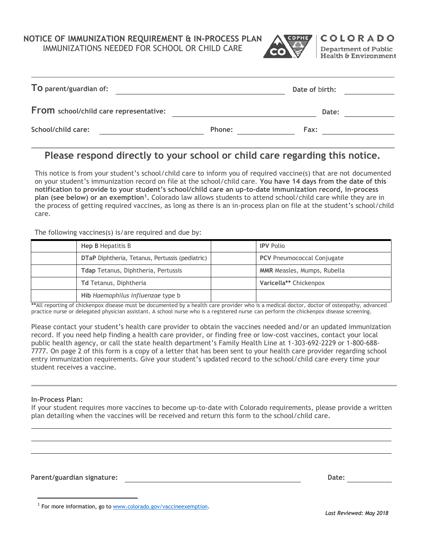**NOTICE OF IMMUNIZATION REQUIREMENT & IN-PROCESS PLAN**

IMMUNIZATIONS NEEDED FOR SCHOOL OR CHILD CARE



|        | Date of birth: |  |
|--------|----------------|--|
|        | Date:          |  |
| Phone: | Fax:           |  |
|        |                |  |

## **Please respond directly to your school or child care regarding this notice.**

This notice is from your student's school/child care to inform you of required vaccine(s) that are not documented on your student's immunization record on file at the school/child care. **You have 14 days from the date of this notification to provide to your student's school/child care an up-to-date immunization record, in-process plan (see below) or an exemption<sup>1</sup> .** Colorado law allows students to attend school/child care while they are in the process of getting required vaccines, as long as there is an in-process plan on file at the student's school/child care.

The following vaccines(s) is/are required and due by:

| Hep B Hepatitis B                               | <b>IPV Polio</b>                   |
|-------------------------------------------------|------------------------------------|
| DTaP Diphtheria, Tetanus, Pertussis (pediatric) | <b>PCV</b> Pneumococcal Conjugate  |
| Tdap Tetanus, Diphtheria, Pertussis             | <b>MMR</b> Measles, Mumps, Rubella |
| <b>Td Tetanus, Diphtheria</b>                   | Varicella** Chickenpox             |
| Hib Haemophilus influenzae type b               |                                    |

**\*\***All reporting of chickenpox disease must be documented by a health care provider who is a medical doctor, doctor of osteopathy, advanced practice nurse or delegated physician assistant. A school nurse who is a registered nurse can perform the chickenpox disease screening.

Please contact your student's health care provider to obtain the vaccines needed and/or an updated immunization record. If you need help finding a health care provider, or finding free or low-cost vaccines, contact your local public health agency, or call the state health department's Family Health Line at 1-303-692-2229 or 1-800-688- 7777. On page 2 of this form is a copy of a letter that has been sent to your health care provider regarding school entry immunization requirements. Give your student's updated record to the school/child care every time your student receives a vaccine.

## **In-Process Plan:**

 $\overline{a}$ 

If your student requires more vaccines to become up-to-date with Colorado requirements, please provide a written plan detailing when the vaccines will be received and return this form to the school/child care.

**Parent/guardian signature: Date:**

<sup>&</sup>lt;sup>1</sup> For more information, go t[o www.colorado.gov/vaccineexemption.](http://www.colorado.gov/vaccineexemption)